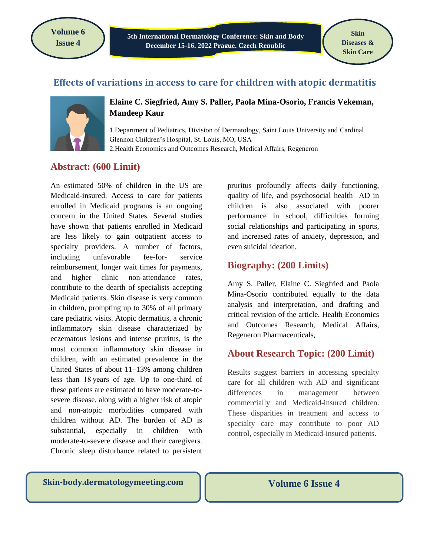**Volume 6 Issue 4**

**5th International Dermatology Conference: Skin and Body December 15-16, 2022 Prague, Czech Republic**

**Skin Diseases & Skin Care**

# **Effects of variations in access to care for children with atopic dermatitis**



#### **Elaine C. Siegfried, Amy S. Paller, Paola Mina-Osorio, Francis Vekeman, Mandeep Kaur**

1.Department of Pediatrics, Division of Dermatology, Saint Louis University and Cardinal Glennon Children's Hospital, St. Louis, MO, USA 2.Health Economics and Outcomes Research, Medical Affairs, Regeneron

# **Abstract: (600 Limit)**

An estimated 50% of children in the US are Medicaid-insured. Access to care for patients enrolled in Medicaid programs is an ongoing concern in the United States. Several studies have shown that patients enrolled in Medicaid are less likely to gain outpatient access to specialty providers. A number of factors, including unfavorable fee-for- service reimbursement, longer wait times for payments, and higher clinic non-attendance rates, contribute to the dearth of specialists accepting Medicaid patients. Skin disease is very common in children, prompting up to 30% of all primary care pediatric visits. Atopic dermatitis, a chronic inflammatory skin disease characterized by eczematous lesions and intense pruritus, is the most common inflammatory skin disease in children, with an estimated prevalence in the United States of about 11–13% among children less than 18 years of age. Up to one-third of these patients are estimated to have moderate-tosevere disease, along with a higher risk of atopic and non-atopic morbidities compared with children without AD. The burden of AD is substantial, especially in children with moderate-to-severe disease and their caregivers. Chronic sleep disturbance related to persistent

pruritus profoundly affects daily functioning, quality of life, and psychosocial health AD in children is also associated with poorer performance in school, difficulties forming social relationships and participating in sports, and increased rates of anxiety, depression, and even suicidal ideation.

#### **Biography: (200 Limits)**

Amy S. Paller, Elaine C. Siegfried and Paola Mina-Osorio contributed equally to the data analysis and interpretation, and drafting and critical revision of the article. Health Economics and Outcomes Research, Medical Affairs, Regeneron Pharmaceuticals,

# **About Research Topic: (200 Limit)**

Results suggest barriers in accessing specialty care for all children with AD and significant differences in management between commercially and Medicaid-insured children. These disparities in treatment and access to specialty care may contribute to poor AD control, especially in Medicaid-insured patients.

**Skin-body.dermatologymeeting.com** | Volume 6 Issue 4